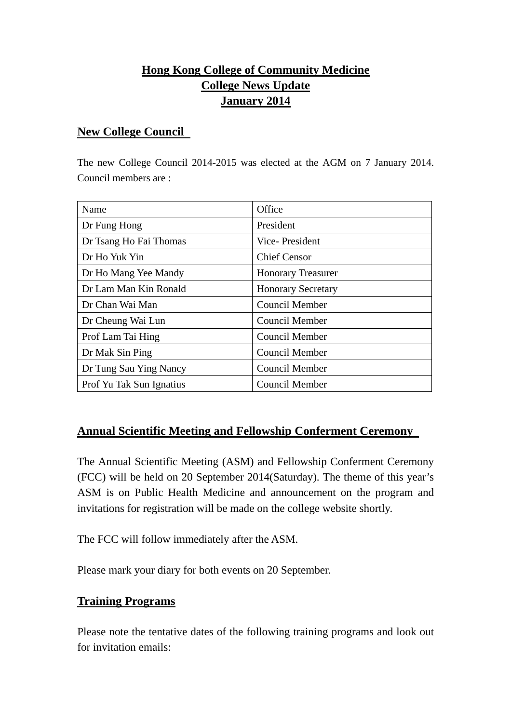# **Hong Kong College of Community Medicine College News Update January 2014**

#### **New College Council**

The new College Council 2014-2015 was elected at the AGM on 7 January 2014. Council members are :

| Name                     | Office                    |
|--------------------------|---------------------------|
| Dr Fung Hong             | President                 |
| Dr Tsang Ho Fai Thomas   | Vice-President            |
| Dr Ho Yuk Yin            | <b>Chief Censor</b>       |
| Dr Ho Mang Yee Mandy     | <b>Honorary Treasurer</b> |
| Dr Lam Man Kin Ronald    | <b>Honorary Secretary</b> |
| Dr Chan Wai Man          | Council Member            |
| Dr Cheung Wai Lun        | Council Member            |
| Prof Lam Tai Hing        | Council Member            |
| Dr Mak Sin Ping          | Council Member            |
| Dr Tung Sau Ying Nancy   | Council Member            |
| Prof Yu Tak Sun Ignatius | Council Member            |

### **Annual Scientific Meeting and Fellowship Conferment Ceremony**

The Annual Scientific Meeting (ASM) and Fellowship Conferment Ceremony (FCC) will be held on 20 September 2014(Saturday). The theme of this year's ASM is on Public Health Medicine and announcement on the program and invitations for registration will be made on the college website shortly.

The FCC will follow immediately after the ASM.

Please mark your diary for both events on 20 September.

### **Training Programs**

Please note the tentative dates of the following training programs and look out for invitation emails: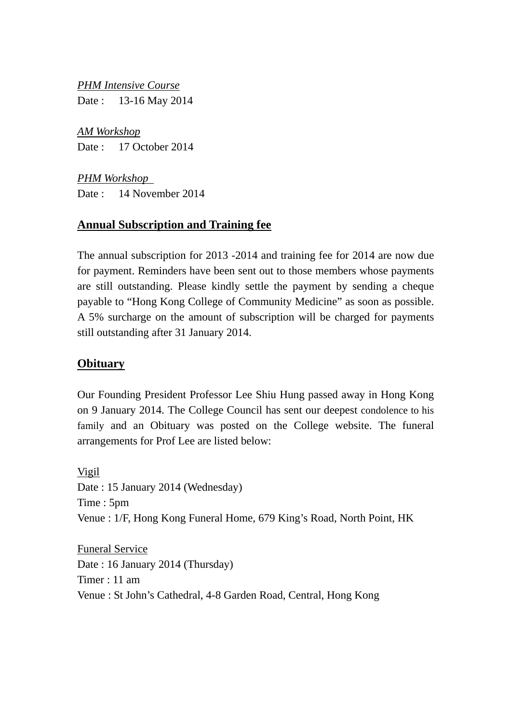*PHM Intensive Course* Date : 13-16 May 2014

*AM Workshop* Date : 17 October 2014

*PHM Workshop*  Date : 14 November 2014

## **Annual Subscription and Training fee**

The annual subscription for 2013 -2014 and training fee for 2014 are now due for payment. Reminders have been sent out to those members whose payments are still outstanding. Please kindly settle the payment by sending a cheque payable to "Hong Kong College of Community Medicine" as soon as possible. A 5% surcharge on the amount of subscription will be charged for payments still outstanding after 31 January 2014.

### **Obituary**

Our Founding President Professor Lee Shiu Hung passed away in Hong Kong on 9 January 2014. The College Council has sent our deepest condolence to his family and an Obituary was posted on the College website. The funeral arrangements for Prof Lee are listed below:

Vigil Date : 15 January 2014 (Wednesday) Time : 5pm Venue : 1/F, Hong Kong Funeral Home, 679 King's Road, North Point, HK

Funeral Service Date : 16 January 2014 (Thursday) Timer : 11 am Venue : St John's Cathedral, 4-8 Garden Road, Central, Hong Kong